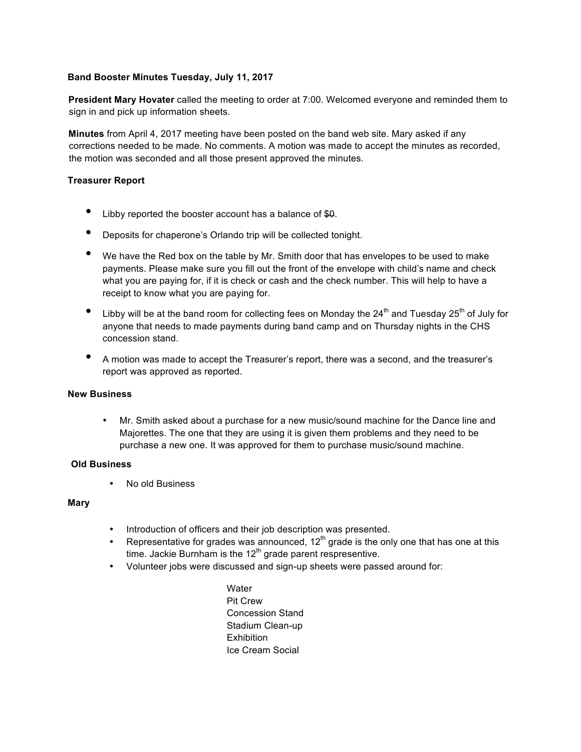### **Band Booster Minutes Tuesday, July 11, 2017**

**President Mary Hovater** called the meeting to order at 7:00. Welcomed everyone and reminded them to sign in and pick up information sheets.

**Minutes** from April 4, 2017 meeting have been posted on the band web site. Mary asked if any corrections needed to be made. No comments. A motion was made to accept the minutes as recorded, the motion was seconded and all those present approved the minutes.

# **Treasurer Report**

- Libby reported the booster account has a balance of \$0.
- Deposits for chaperone's Orlando trip will be collected tonight.
- We have the Red box on the table by Mr. Smith door that has envelopes to be used to make payments. Please make sure you fill out the front of the envelope with child's name and check what you are paying for, if it is check or cash and the check number. This will help to have a receipt to know what you are paying for.
- Libby will be at the band room for collecting fees on Monday the 24<sup>th</sup> and Tuesday 25<sup>th</sup> of July for anyone that needs to made payments during band camp and on Thursday nights in the CHS concession stand.
- A motion was made to accept the Treasurer's report, there was a second, and the treasurer's report was approved as reported.

#### **New Business**

• Mr. Smith asked about a purchase for a new music/sound machine for the Dance line and Majorettes. The one that they are using it is given them problems and they need to be purchase a new one. It was approved for them to purchase music/sound machine.

### **Old Business**

• No old Business

#### **Mary**

- Introduction of officers and their job description was presented.
- Representative for grades was announced,  $12<sup>th</sup>$  grade is the only one that has one at this time. Jackie Burnham is the  $12<sup>th</sup>$  grade parent respresentive.
- Volunteer jobs were discussed and sign-up sheets were passed around for:

**Water** Pit Crew Concession Stand Stadium Clean-up **Exhibition** Ice Cream Social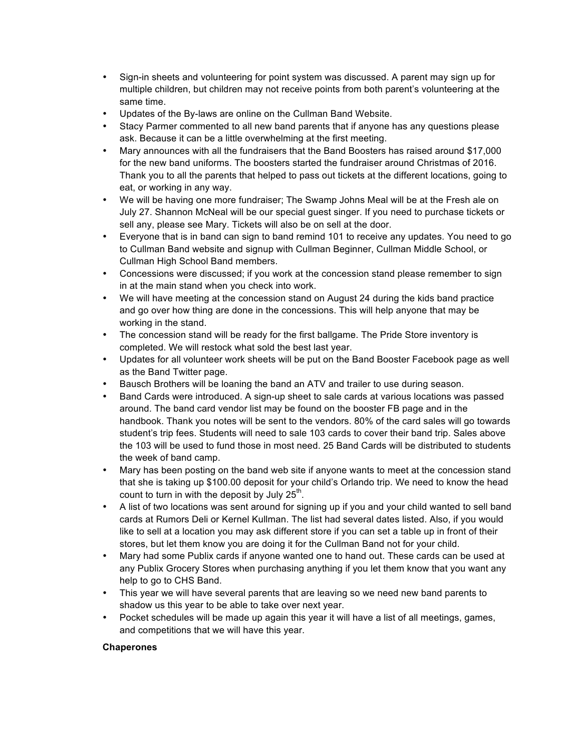- Sign-in sheets and volunteering for point system was discussed. A parent may sign up for multiple children, but children may not receive points from both parent's volunteering at the same time.
- Updates of the By-laws are online on the Cullman Band Website.
- Stacy Parmer commented to all new band parents that if anyone has any questions please ask. Because it can be a little overwhelming at the first meeting.
- Mary announces with all the fundraisers that the Band Boosters has raised around \$17,000 for the new band uniforms. The boosters started the fundraiser around Christmas of 2016. Thank you to all the parents that helped to pass out tickets at the different locations, going to eat, or working in any way.
- We will be having one more fundraiser; The Swamp Johns Meal will be at the Fresh ale on July 27. Shannon McNeal will be our special guest singer. If you need to purchase tickets or sell any, please see Mary. Tickets will also be on sell at the door.
- Everyone that is in band can sign to band remind 101 to receive any updates. You need to go to Cullman Band website and signup with Cullman Beginner, Cullman Middle School, or Cullman High School Band members.
- Concessions were discussed; if you work at the concession stand please remember to sign in at the main stand when you check into work.
- We will have meeting at the concession stand on August 24 during the kids band practice and go over how thing are done in the concessions. This will help anyone that may be working in the stand.
- The concession stand will be ready for the first ballgame. The Pride Store inventory is completed. We will restock what sold the best last year.
- Updates for all volunteer work sheets will be put on the Band Booster Facebook page as well as the Band Twitter page.
- Bausch Brothers will be loaning the band an ATV and trailer to use during season.
- Band Cards were introduced. A sign-up sheet to sale cards at various locations was passed around. The band card vendor list may be found on the booster FB page and in the handbook. Thank you notes will be sent to the vendors. 80% of the card sales will go towards student's trip fees. Students will need to sale 103 cards to cover their band trip. Sales above the 103 will be used to fund those in most need. 25 Band Cards will be distributed to students the week of band camp.
- Mary has been posting on the band web site if anyone wants to meet at the concession stand that she is taking up \$100.00 deposit for your child's Orlando trip. We need to know the head count to turn in with the deposit by July  $25<sup>th</sup>$ .
- A list of two locations was sent around for signing up if you and your child wanted to sell band cards at Rumors Deli or Kernel Kullman. The list had several dates listed. Also, if you would like to sell at a location you may ask different store if you can set a table up in front of their stores, but let them know you are doing it for the Cullman Band not for your child.
- Mary had some Publix cards if anyone wanted one to hand out. These cards can be used at any Publix Grocery Stores when purchasing anything if you let them know that you want any help to go to CHS Band.
- This year we will have several parents that are leaving so we need new band parents to shadow us this year to be able to take over next year.
- Pocket schedules will be made up again this year it will have a list of all meetings, games, and competitions that we will have this year.

#### **Chaperones**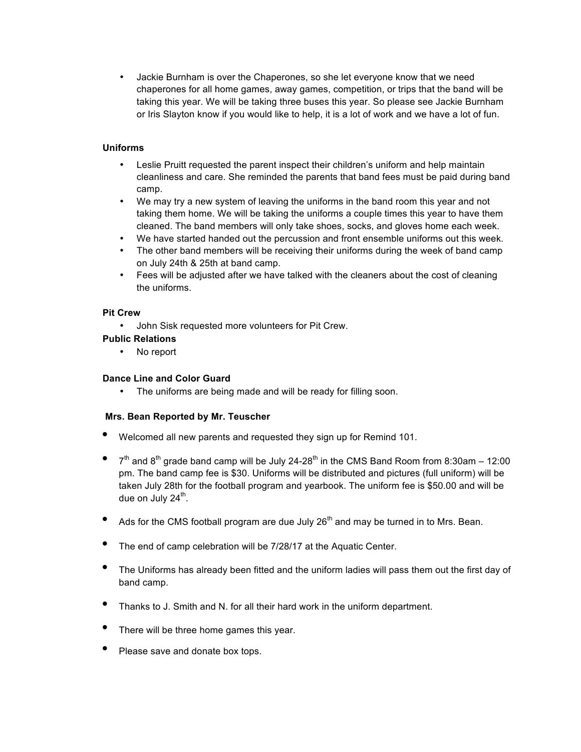• Jackie Burnham is over the Chaperones, so she let everyone know that we need chaperones for all home games, away games, competition, or trips that the band will be taking this year. We will be taking three buses this year. So please see Jackie Burnham or Iris Slayton know if you would like to help, it is a lot of work and we have a lot of fun.

# **Uniforms**

- Leslie Pruitt requested the parent inspect their children's uniform and help maintain cleanliness and care. She reminded the parents that band fees must be paid during band camp.
- We may try a new system of leaving the uniforms in the band room this year and not taking them home. We will be taking the uniforms a couple times this year to have them cleaned. The band members will only take shoes, socks, and gloves home each week.
- We have started handed out the percussion and front ensemble uniforms out this week.
- The other band members will be receiving their uniforms during the week of band camp on July 24th & 25th at band camp.
- Fees will be adjusted after we have talked with the cleaners about the cost of cleaning the uniforms.

#### **Pit Crew**

• John Sisk requested more volunteers for Pit Crew.

# **Public Relations**

• No report

#### **Dance Line and Color Guard**

• The uniforms are being made and will be ready for filling soon.

#### **Mrs. Bean Reported by Mr. Teuscher**

- Welcomed all new parents and requested they sign up for Remind 101.
- $7<sup>th</sup>$  and 8<sup>th</sup> grade band camp will be July 24-28<sup>th</sup> in the CMS Band Room from 8:30am 12:00 pm. The band camp fee is \$30. Uniforms will be distributed and pictures (full uniform) will be taken July 28th for the football program and yearbook. The uniform fee is \$50.00 and will be due on July  $24^{\text{th}}$ .
- Ads for the CMS football program are due July  $26<sup>th</sup>$  and may be turned in to Mrs. Bean.
- The end of camp celebration will be 7/28/17 at the Aquatic Center.
- The Uniforms has already been fitted and the uniform ladies will pass them out the first day of band camp.
- Thanks to J. Smith and N. for all their hard work in the uniform department.
- There will be three home games this year.
- Please save and donate box tops.